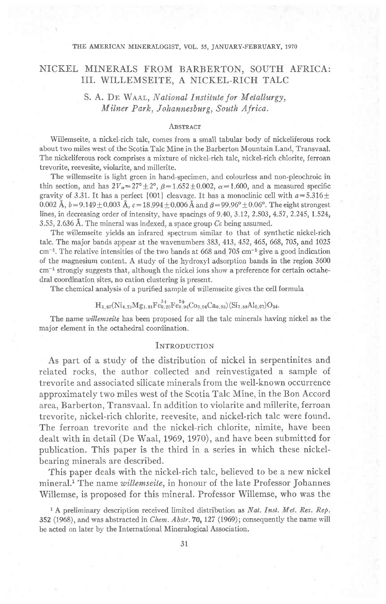#### THE AMERICAN MINERALOGIST, VOL. 55, JANUARY-FEBRUARY, 1970

# NICKEL MINERALS FROM BARBERTON, SOUTH AFRICA: III. WILLEMSEITE, A NICKEL-RICH TALC

## S. A. DE WAAL, National Institute for Metallurgy, Milner Park, Johannesburg, South Africa.

#### **ABSTRACT**

Wiilemseite, a nickel-rich talc, comes from a small tabular body of nickeliferous rock about two miles west of the Scotia Talc Mine in the Barberton Mountain Land, Transvaal. The nickeliferous rock comprises a mixture of nickel-rich talc, nickel-rich chlorite, ferroan trevorite, reevesite, violarite, and millerite.

The willemseite is light green in hand-specimen, and colourless and non-pleochroic in thin section, and has  $2V_{\alpha} = 27^{\circ} \pm 2^{\circ}$ ,  $\beta = 1.652 \pm 0.002$ ,  $\alpha = 1.600$ , and a measured specific gravity of 3.31. It has a perfect {001} cleavage. It has a monoclinic cell with  $a=5.316\pm$ 0.002 Å,  $b=9.149\pm 0.003$  Å,  $c=18.994\pm 0.006$  Å and  $\beta=99.96^{\circ} \pm 0.06^{\circ}$ . The eight strongest lines, in decreasing order of intensity, have spacings of 9.40, 3.12, 2.503, 4.57, 2.245, 1.524, 3.55, 2.636 Å. The mineral was indexed, a space group  $Cc$  being assumed.

The willemseite yields an infrared spectrum similar to that of synthetic nickel-rich talc. The major bands appear at the wavenumbers 383, 413,452,465,668,705, and 1025  $cm^{-1}$ . The relative intensities of the two bands at 668 and 705  $cm^{-1}$  give a good indication of the magnesium content. A study of the hydroxyl adsorption bands in the region 3600  $cm<sup>-1</sup>$  strongly suggests that, although the nickel ions show a preference for certain octahedral coordination sites, no cation clustering is present.

The chemical analysis of a purified sample of willemseite gives the cell formula

# $H_{3.67}(Ni_{4.23}Mg_{1.61}Fe_{0.20}^{3+}Fe_{0.04}^{2+}Co_{0.06}Ca_{0.05})(Si_{7.89}Al_{0.07})O_{24}.$

The name willemseite has been proposed for all the talc minerals having nickel as the major element in the octahedral coordination.

### INTRODUCTION

As part of a study of the distribution of nickel in serpentinites and related rocks, the author collected and reinvestigated a sample of trevorite and associated silicate minerals from the well-known occurrence approximately two miles west of the Scotia Talc Mine, in the Bon Accord area, Barberton, Transvaal. In addition to violarite and millerite, ferroan trevorite, nickel-rich chlorite, reevesite, and nickel-rich talc were found. The ferroan trevorite and the nickel-rich chlorite, nimite, have been dealt with in detail (De WaaI, 1969, 1970), and have been submitted for publication. This paper is the third in a series in which these nickelbearing minerals are described.

This paper deals with the nickel-rich talc, believed to be a new nickel mineral.<sup>1</sup> The name willemseite, in honour of the late Professor Johannes Willemse, is proposed for this mineral. Professor Willemse, who was the

<sup>1</sup> A preliminary description received limited distribution as *Nat. Inst. Met. Res. Rep.* 352 (1968), and was abstracted in *Chem. Abstr.* 70, 127 (1969); consequently the name will be acted on Iater by the International Mineralogical Association.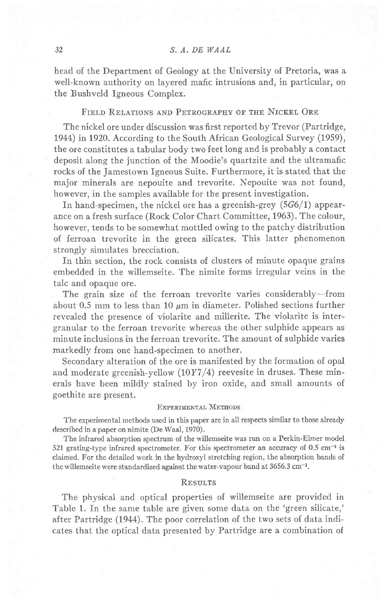head of the Department of Geology at the University of Pretoria, was a well-known authority on layered mafic intrusions and, in particular, on the Bushveld Igneous Complex.

### FIELD RELATIONS AND PETROGRAPHY OF THE NICKEL ORE

The nickel ore under discussion was first reported by Trevor (Partridge, 1944) in 1920. According to the South African Geological Survey (1959), the ore constitutes a tabular body two feet long and is probably a contact deposit along the junction of the Moodie's quartzite and the ultramafic rocks of the Jamestown Igneous Suite. Furthermore, it is stated that the major minerals are nepouite and trevorite. Nepouite was not found, however, in the samples available for the present investigation.

In hand-specimen, the nickel ore has a greenish-grey  $(5G6/1)$  appearance on a fresh surface (Rock Color Chart Committee, 1963). The colour, however, tends to be somewhat mottled owing to the patchy distribution of ferroan trevorite in the green silicates. This latter phenomenon strongly simulates brecciation.

In thin section, the rock consists of clusters of minute opaque grains embedded in the willemseite. The nimite forms irregular veins in the talc and opaque ore.

The grain size of the ferroan trevorite varies considerably-from about 0.5 mm to less than 10  $\mu$ m in diameter. Polished sections further revealed the presence of violarite and millerite. The violarite is intergranular to the ferroan trevorite whereas the other sulphide appears as minute inclusions in the ferroan trevorite. The amount of sulphide varies markedly from one hand-specimen to another.

Secondary alteration of the ore is manifested by the formation of opal and moderate greenish-yellow  $(10Y7/4)$  reevesite in druses. These minerals have been mildlv stained bv iron oxide, and small amounts of goethite are present.

#### EXPERIMENTAL METHODS

The experimental methods used in this paper are in all respects similar to those already described in a paper on nimite (De Waal, 1970).

The infrared absorption spectrum of the willemseite was run on a Perkin-Elmer model 521 grating-type infrared spectrometer. For this spectrometer an accuracy of  $0.5 \text{ cm}^{-1}$  is claimed. For the detailed work in the hydroxyl stretching region, the absorption bands of the willemseite were standardized against the water-vapour band at  $3656.3 \text{ cm}^{-1}$ .

#### **RESULTS**

The physical and optical properties of willemseite are provided in Table 1. fn the same table are given some data on the 'green silicate,' after Partridge (1944). The poor correlation of the two sets of data indicates that the optical data presented by Partridge are a combination of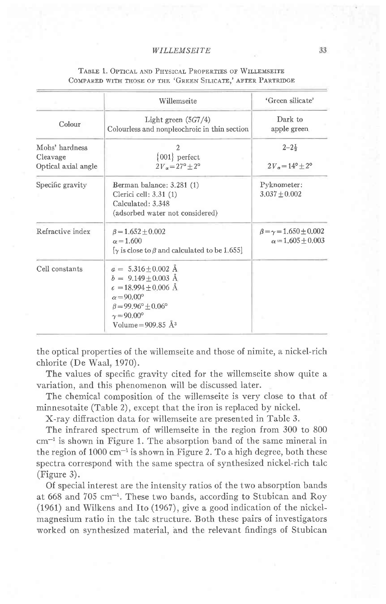|                                                   | Willemseite                                                                                                                                                                                                          | 'Green silicate'                                      |  |
|---------------------------------------------------|----------------------------------------------------------------------------------------------------------------------------------------------------------------------------------------------------------------------|-------------------------------------------------------|--|
| Colour                                            | Light green $(5G7/4)$<br>Colourless and nonpleochroic in thin section                                                                                                                                                | Dark to<br>apple green                                |  |
| Mohs' hardness<br>Cleavage<br>Optical axial angle | 2<br>$\{001\}$ perfect<br>$2V_{\alpha} = 27^{\circ} + 2^{\circ}$                                                                                                                                                     | $2 - 2\frac{1}{2}$<br>$2V_a = 14^{\circ} + 2^{\circ}$ |  |
| Specific gravity                                  | Berman balance: 3.281 (1)<br>Clerici cell: $3.31(1)$<br>Calculated: 3.348<br>(adsorbed water not considered)                                                                                                         |                                                       |  |
| Refractive index                                  | $\beta = 1.652 \pm 0.002$<br>$\alpha = 1.600$<br>[y is close to $\beta$ and calculated to be 1.655]                                                                                                                  |                                                       |  |
| Cell constants                                    | $a = 5.316 \pm 0.002$ Å<br>$b = 9.149 + 0.003$ Å<br>$\epsilon = 18.994 + 0.006$ Å<br>$\alpha = 90.00^{\circ}$<br>$\beta = 99.96^{\circ} + 0.06^{\circ}$<br>$\gamma = 90.00^{\circ}$<br>Volume = $909.85 \text{ Å}^3$ |                                                       |  |

### TABLE 1. OPTICAL AND PHYSICAL PROPERTIES OF WILLEMSEITE COMPARED WITH THOSE OF THE 'GREEN SILICATE,' AFTER PARTRIDGE

the optical properties of the willemseite and those of nimite, a nickel-rich chlorite (De Waal, 1970).

The values of specific gravity cited for the willemseite show quite a variation, and this phenomenon will be discussed later.

The chemical composition of the willemseite is very close to that of minnesotaite (Table 2), except that the iron is replaced by nickel.

X-ray diffraction data for willemseite are presented in Table 3.

The infrared spectrum of willemseite in the region from 300 to 800  $cm^{-1}$  is shown in Figure 1. The absorption band of the same mineral in the region of  $1000 \text{ cm}^{-1}$  is shown in Figure 2. To a high degree, both these spectra correspond with the same spectra of synthesized nickel-rich talc  $(Figure 3)$ .

Of special interest are the intensity ratios of the two absorption bands at 668 and 705 cm<sup>-1</sup>. These two bands, according to Stubican and Roy (1961) and Wilkens and Ito (1967), give a good indication of the nickelmagnesium ratio in the talc structure. Both these pairs of investigators worked on synthesized material, and the relevant findings of Stubican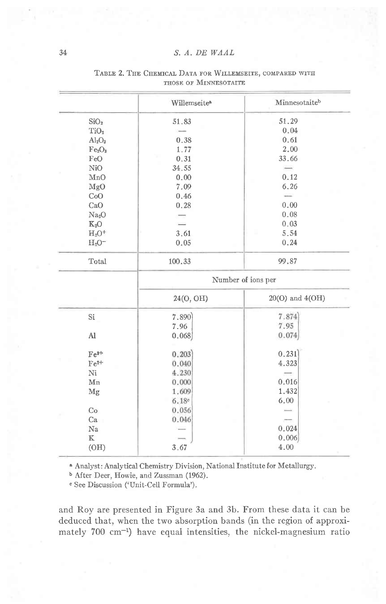#### S. A. DE WAAL

|    |                                | Willemseite <sup>a</sup> | Minnesotaiteb   |  |  |  |
|----|--------------------------------|--------------------------|-----------------|--|--|--|
|    | SiO <sub>2</sub>               | 51.83                    | 51.29           |  |  |  |
|    | TiO <sub>2</sub>               |                          | 0.04            |  |  |  |
|    | $Al_2O_3$                      | 0.38                     | 0.61            |  |  |  |
|    | Fe <sub>2</sub> O <sub>3</sub> | 1.77                     | 2.00            |  |  |  |
|    | FeO                            | 0.31                     | 33.66           |  |  |  |
|    | Ni0                            | 34.55                    |                 |  |  |  |
|    | MnO                            | 0.00                     | 0.12            |  |  |  |
|    | MgO                            | 7.09                     | 6.26            |  |  |  |
|    | CoO                            | 0.46                     |                 |  |  |  |
|    | CaO                            | 0.28                     | 0.00            |  |  |  |
|    | Na <sub>2</sub> O              |                          | 0.08            |  |  |  |
|    | $K_2O$                         |                          | 0.03            |  |  |  |
|    | $H_2O^+$                       | 3.61                     | 5.54            |  |  |  |
|    | $H_2O^-$                       | 0.05                     | 0.24            |  |  |  |
|    | Total                          | 100.33                   | 99.87           |  |  |  |
|    |                                | Number of ions per       |                 |  |  |  |
|    |                                | 24(O, OH)                | 20(O) and 4(OH) |  |  |  |
|    | $\rm Si$                       | 7.890                    | 7.874           |  |  |  |
|    |                                | 7.96                     | 7.95            |  |  |  |
|    | Al                             | 0.068                    | 0.074           |  |  |  |
|    | $Fe3+$                         | 0.203                    | 0.231           |  |  |  |
|    | $Fe2+$                         | 0.040                    | 4.323           |  |  |  |
|    | Ni                             | 4.230                    |                 |  |  |  |
| Mn |                                | 0.000                    | 0.016           |  |  |  |
|    | Mg                             | 1.609                    | 1.432           |  |  |  |
|    |                                | 6.18°                    | 6.00            |  |  |  |
|    | Co                             | 0.056                    |                 |  |  |  |
|    | Ca                             | 0.046                    |                 |  |  |  |
|    | Na                             |                          | 0.024           |  |  |  |
|    | $\mathbbm{K}$                  |                          | 0.006           |  |  |  |
|    | (OH)                           | 3.67                     | 4.00            |  |  |  |

#### TABLE 2. THE CHEMICAL DATA FOR WILLEMSEITE, COMPARED WITH THOSE OF MINNESOTAITE

a Analyst: Analytical Chemistry Division, National Institute for Metallurgy.

<sup>b</sup> After Deer, Howie, and Zussman (1962).

<sup>e</sup> See Discussion ('Unit-Cell Formula').

and Roy are presented in Figure 3a and 3b. From these data it can be deduced that, when the two absorption bands (in the region of approximately 700 cm<sup>-1</sup>) have equal intensities, the nickel-magnesium ratio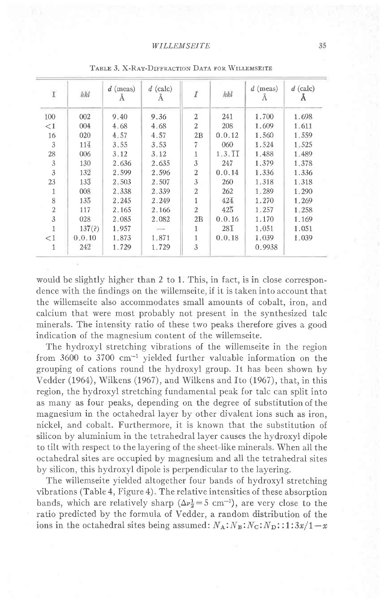| $\rm I$        | hkl              | $d$ (meas)<br>А | $d$ (calc)<br>А | $\boldsymbol{I}$ | hkl              | $d$ (meas)<br>А | $d$ (calc)<br>Α |
|----------------|------------------|-----------------|-----------------|------------------|------------------|-----------------|-----------------|
| 100            | 002              | 9.40            | 9.36            | $\overline{2}$   | 241              | 1.700           | 1.698           |
| $\leq$ 1       | 004              | 4.68            | 4.68            | $\mathfrak{2}$   | 208              | 1.609           | 1.611           |
| 16             | 020              | 4.57            | 4.57            | 2B               | 0.0.12           | 1.560           | 1.559           |
| 3              | 114              | 3.55            | 3.53            | 7                | 060              | 1.524           | 1.525           |
| 28             | 006              | 3.12            | 3.12            |                  | 1.3.11           | 1.488           | 1.489           |
| $\mathfrak{Z}$ | 130              | 2.636           | 2.635           | 3                | 247              | 1.379           | 1.378           |
| 3              | 132              | 2.599           | 2.596           | $\overline{2}$   | 0.0.14           | 1.336           | 1.336           |
| 23             | $13\overline{3}$ | 2.503           | 2.507           | 3                | 260              | 1.318           | 1.318           |
| 1              | 008              | 2.338           | 2.339           | $\overline{2}$   | 262              | 1.289           | 1.290           |
| 8              | $13\overline{5}$ | 2.245           | 2.249           | 1                | 424              | 1.270           | 1.269           |
| $\sqrt{2}$     | 117              | 2.165           | 2.166           | $\overline{2}$   | $42\overline{5}$ | 1.257           | 1.258           |
| 3              | 028              | 2.085           | 2.082           | 2B               | 0.0.16           | 1.170           | 1.169           |
|                | 137(2)           | 1.957           |                 | 1                | $28\overline{1}$ | 1.051           | 1.051           |
| $\leq$ 1       | 0.0.10           | 1.873           | 1.871           | 1                | 0.0.18           | 1.039           | 1.039           |
| 1              | 242              | 1.729           | 1,729           | 3                |                  | 0.9938          |                 |

TABLE 3, X-RAY-DIFFRACTION DATA FOR WILLEMSEITE

would be slightly higher than 2 to 1. This, in fact, is in close correspondence with the findings on the willemseite, if it is taken into account that the willemseite also accommodates small amounts of cobalt, iron, and calcium that were most probably not present in the synthesized talc minerals. The intensity ratio of these two peaks therefore gives a good indication of the magnesium content of the willemseite.

The hydroxyl stretching vibrations of the willemseite in the region from  $3600$  to  $3700$  cm<sup>-1</sup> yielded further valuable information on the grouping of cations round the hydroxyl group. It has been shown by Vedder (1964), Wilkens (1967), and Wilkens and Ito (1967), that, in this region, the hydroxyl stretching fundamental peak for talc can split into as many as four peaks, depending on the degree of substitution of the magnesium in the octahedral layer by other divalent ions such as iron, nickel, and cobalt. Furthermore, it is known that the substitution of silicon by aluminium in the tetrahedral layer causes the hydroxyl dipole to tilt with respect to the layering of the sheet-like minerals. When all the octahedral sites are occupied by magnesium and all the tetrahedral sites by silicon, this hydroxyl dipole is perpendicular to the layering.

The willemseite yielded altogether four bands of hydroxyl stretching vibrations (Table 4, Figure 4). The relative intensities of these absorption bands, which are relatively sharp  $(\Delta v_2^1 = 5 \text{ cm}^{-1})$ , are very close to the ratio predicted by the formula of Vedder, a random distribution of the ions in the octahedral sites being assumed:  $N_A$ :  $N_B$ :  $N_C$ :  $N_D$ : :1:3x/1-x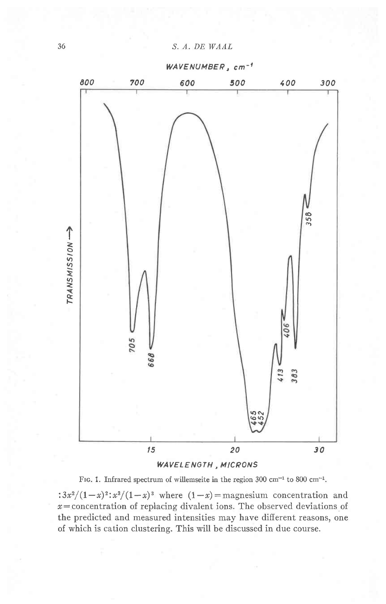WAVENUMBEP, cm-'



WAVELENGTH , MICRONS

FIG. 1. Infrared spectrum of willemseite in the region 300 cm<sup>-1</sup> to 800 cm<sup>-1</sup>. :  $3x^2/(1-x)^2$ :  $x^3/(1-x)^3$  where  $(1-x)$  = magnesium concentration and  $x=$  concentration of replacing divalent ions. The observed deviations of the predicted and measured intensities may have different reasons, one

of which is cation clustering. This will be discussed in due course.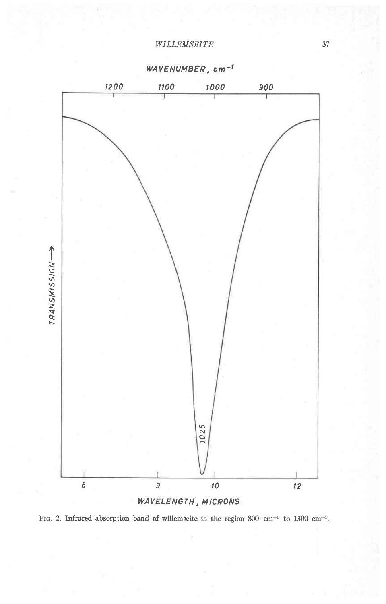

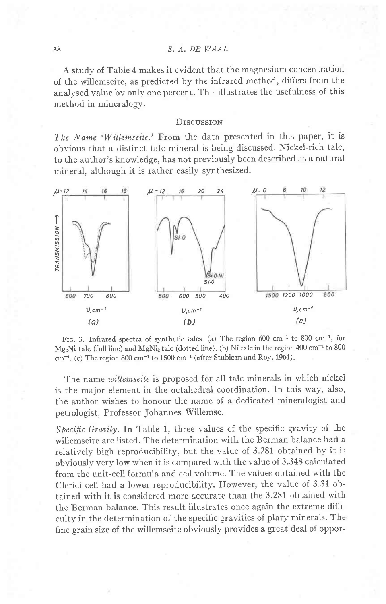A study of Table 4 makes it evident that the magnesium concentration of the willemseite, as predicted by the infrared method, differs from the analysed value by only one percent. This illustrates the usefulness of this method in mineralogy.

#### **DISCUSSION**

The Name 'Willemseite.' From the data presented in this paper, it is obvious that a distinct talc mineral is being discussed. Nickel-rich talc, to the author's knowledge, has not previously been described as a natural mineral, although it is rather easily synthesized.



FIG. 3. Infrared spectra of synthetic talcs. (a) The region 600 cm<sup>-1</sup> to 800 cm<sup>-1</sup>, for  $Mg_2Ni$  talc (full line) and  $MgNi_2$  talc (dotted line). (b) Ni talc in the region 400 cm<sup>-1</sup> to 800  $cm^{-1}$ . (c) The region 800 cm<sup>-1</sup> to 1500 cm<sup>-1</sup> (after Stubican and Roy, 1961).

The name willemseite is proposed for all talc minerals in which nickel is the major element in the octahedral coordination. In this way, also, the author wishes to honour the name of a dedicated mineralogist and petrologist, Professor Johannes Willemse.

Specific Gravity. In Table 1, three values of the specific gravity of the willemseite are listed. The determination with the Berman balance had a relatively high reproducibility, but the value of 3.281 obtained by it is obviously very low when it is compared with the value of 3.348 calculated from the unit-cell formula and cell volume. The values obtained with the Clerici ceII had a lower reproducibility. However, the value of 3.31 obtained with it is considered more accurate than the 3.281 obtained with the Berman balance. This result illustrates once again the extreme dificulty in the determination of the specific gravities of platy minerals. The fine grain size of the willemseite obviously provides a great deal of oppor-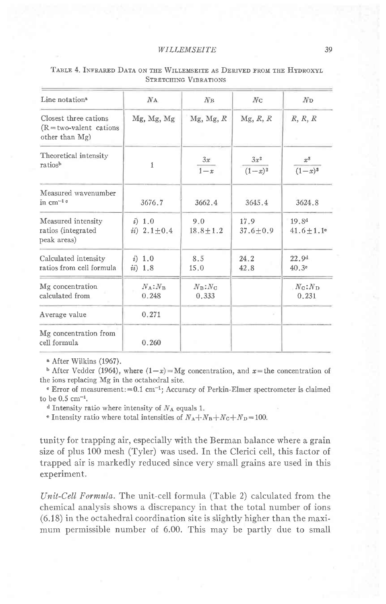| Line notation <sup>3</sup>                                           | $N_A$                     | N <sub>B</sub>                     | Nc                   | N <sub>D</sub>                                 |
|----------------------------------------------------------------------|---------------------------|------------------------------------|----------------------|------------------------------------------------|
| Closest three cations<br>$(R = two-valent cations$<br>other than Mg) | Mg, Mg, Mg                | Mg, Mg, R                          | Mg, R, R             | R, R, R                                        |
| Theoretical intensity<br>ratiosh                                     | $\mathbf{1}$              | 3x<br>$1-x$                        | $3x^2$<br>$(1-x)^2$  | $x^3$<br>$(1-x)^3$                             |
| Measured wavenumber<br>in $cm^{-1}$ <sup>c</sup>                     | 3676.7                    | 3662.4                             | 3645.4               | 3624.8                                         |
| Measured intensity<br>ratios (integrated<br>peak areas)              | i) 1.0<br>$ii) 2.1 + 0.4$ | 9.0<br>$18.8 + 1.2$                | 17.9<br>$37.6 + 0.9$ | 19.8 <sup>d</sup><br>$41.6 + 1.1$ <sup>e</sup> |
| Calculated intensity<br>ratios from cell formula                     | (i) 1.0<br>$ii)$ 1.8      | 8.5<br>15.0                        | 24.2<br>42.8         | 22.9 <sup>d</sup><br>40.3e                     |
| Mg concentration<br>calculated from                                  | $N_A$ : $N_B$<br>0.248    | $N_{\rm B}$ : $N_{\rm C}$<br>0.333 |                      | $N_{\mathbf{C}}$ : $N_{\mathbf{D}}$<br>0.231   |
| Average value                                                        | 0.271                     |                                    | v                    |                                                |
| Mg concentration from<br>cell formula                                | 0.260                     |                                    |                      |                                                |

#### TABLE 4. INFRARED DATA ON THE WILLEMSEITE AS DERIVED FROM THE HYDROXYL **STRETCHING VIBRATIONS**

<sup>a</sup> After Wilkins (1967).

**b** After Vedder (1964), where  $(1-x) = Mg$  concentration, and  $x =$  the concentration of the ions replacing Mg in the octahedral site.

e Error of measurement: = 0.1 cm<sup>-1</sup>; Accuracy of Perkin-Elmer spectrometer is claimed to be  $0.5 \text{ cm}^{-1}$ .

<sup>d</sup> Intensity ratio where intensity of  $N_A$  equals 1.

• Intensity ratio where total intensities of  $N_A + N_B + N_C + N_D = 100$ .

tunity for trapping air, especially with the Berman balance where a grain size of plus 100 mesh (Tyler) was used. In the Clerici cell, this factor of trapped air is markedly reduced since very small grains are used in this experiment.

Unit-Cell Formula. The unit-cell formula (Table 2) calculated from the chemical analysis shows a discrepancy in that the total number of ions (6.18) in the octahedral coordination site is slightly higher than the maximum permissible number of 6.00. This may be partly due to small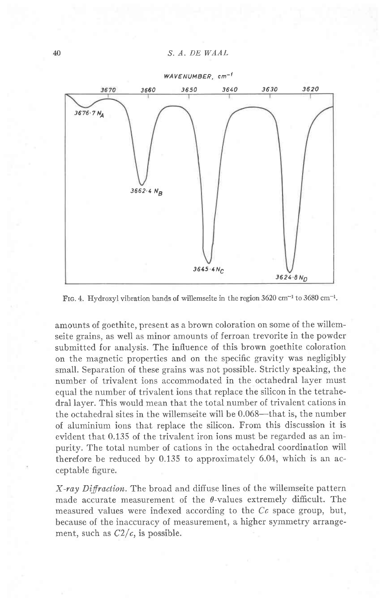

FIG. 4. Hydroxyl vibration bands of willemseite in the region  $3620 \text{ cm}^{-1}$  to  $3680 \text{ cm}^{-1}$ .

amounts of goethite, present as a brown coloration on some of the willemseite grains, as well as minor amounts of ferroan trevorite in the powder submitted for analysis. The influence of this brown goethite coloration on the magnetic properties and on the specific gravity was negligibly small. Separation of these grains was not possible. Strictly speaking, the number of trivalent ions accommodated in the octahedral layer must equal the number of trivalent ions that replace the silicon in the tetrahedral layer. This would mean that the total number of trivalent cations in the octahedral sites in the willemseite will be  $0.068$ —that is, the number of aluminium ions that replace the silicon. From this discussion it is evident that 0.135 of the trivalent iron ions must be regarded as an impurity. The total number of cations in the octahedral coordination will therefore be reduced by 0.135 to approximately 6.04, which is an acceptable figure.

 $X$ -ray Diffraction. The broad and diffuse lines of the willemseite pattern made accurate measurement of the  $\theta$ -values extremely difficult. The measured values were indexed according to the  $C\epsilon$  space group, but, because of the inaccuracy of measurement, a higher symmetry arrangement, such as  $C2/c$ , is possible.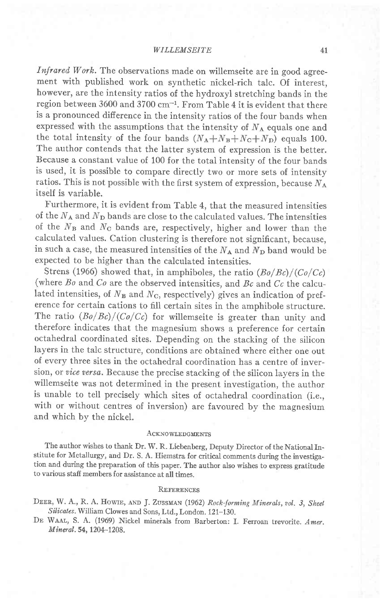Infrared Work. The observations made on willemseite are in good agreement with published work on synthetic nickel-rich talc. Of interest, however, are the intensity ratios of the hydroxyl stretching bands in the region between 3600 and 3700 cm-l. From Table 4 it is evident that there is a pronounced difference in the intensity ratios of the four bands when expressed with the assumptions that the intensity of  $N_A$  equals one and the total intensity of the four bands  $(N_A+N_B+N_C+N_D)$  equals 100. The author contends that the latter system of expression is the better. Because a constant value of 100 for the total intensity of the four bands is used, it is possible to compare directly two or more sets of intensity ratios. This is not possible with the first system of expression, because  $N_A$ itself is variable.

Furthermore, it is evident from Table 4, that the measured intensities of the  $N_A$  and  $N_D$  bands are close to the calculated values. The intensities of the  $N_B$  and  $N_C$  bands are, respectively, higher and lower than the calculated values. Cation clustering is therefore not significant, because, in such a case, the measured intensities of the  $N_A$  and  $N_D$  band would be expected to be higher than the calculated intensities.

Strens (1966) showed that, in amphiboles, the ratio  $(Bo/Be)/(Co/Cc)$ (where  $Bo$  and  $Co$  are the observed intensities, and  $Bc$  and  $Cc$  the calculated intensities, of  $N_B$  and  $N_C$ , respectively) gives an indication of preference for certain cations to fill certain sites in the amphibole structure. The ratio  $(Bo/Be)/(Co/Cc)$  for willemseite is greater than unity and therefore indicates that the magnesium shows a preference for certain octahedral coordinated sites. Depending on the stacking of the silicon layers in the talc structure, conditions are obtained where either one out of every three sites in the octahedral coordination has a centre of inversion, or vice versa. Because the precise stacking of the silicon layers in the willemseite was not determined in the present investigation, the author is unable to tell precisely which sites of octahedral coordination (i.e., with or without centres of inversion) are favoured by the magnesium and which by the nickel.

#### **ACKNOWLEDGMENTS**

The author wishes to thank Dr. W. R. Liebenberg, Deputy Director of the National Institute for Metallurgy, and Dr. S. A. Hiemstra for critical comments during the investigation and during the preparation of this paper. The author also wishes to express gratitude to various staff members for assistance at all times.

#### REFERENCES

DEER, W. A., R. A. HOWIE, AND J. ZUSSMAN (1962) Rock-forming Minerals, vol. 3, Sheet Silicates. William Clowes and Sons, Ltd., London. 121-130.

DE WAAL, S. A. (1969) Nickel minerals from Barberton: I. Ferroan trevorite. Amer. Mineral. 54, 1204-1208.